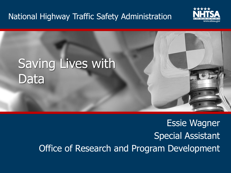### National Highway Traffic Safety Administration





### Essie Wagner Special Assistant Office of Research and Program Development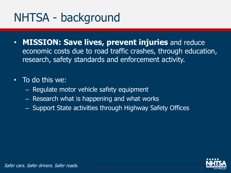## NHTSA - background

• **MISSION: Save lives, prevent injuries** and reduce economic costs due to road traffic crashes, through education, research, safety standards and enforcement activity.

### • To do this we:

- Regulate motor vehicle safety equipment
- Research what is happening and what works
- Support State activities through Highway Safety Offices

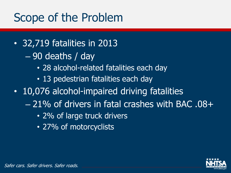### Scope of the Problem

- 32,719 fatalities in 2013
	- 90 deaths / day
		- 28 alcohol-related fatalities each day
		- 13 pedestrian fatalities each day
- 10,076 alcohol-impaired driving fatalities
	- 21% of drivers in fatal crashes with BAC .08+
		- 2% of large truck drivers
		- 27% of motorcyclists

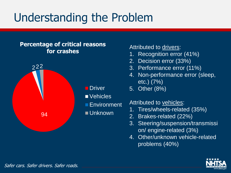# Understanding the Problem

#### **Percentage of critical reasons for crashes**



#### Attributed to drivers:

- 1. Recognition error (41%)
- 2. Decision error (33%)
- 3. Performance error (11%)
- 4. Non-performance error (sleep, etc.) (7%)
- 5. Other (8%)

#### Attributed to vehicles:

- 1. Tires/wheels-related (35%)
- 2. Brakes-related (22%)
- 3. Steering/suspension/transmissi on/ engine-related (3%)
- 4. Other/unknown vehicle-related problems (40%)

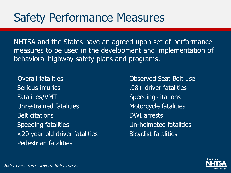### Safety Performance Measures

NHTSA and the States have an agreed upon set of performance measures to be used in the development and implementation of behavioral highway safety plans and programs.

Overall fatalities Observed Seat Belt use Serious injuries **.08+ driver fatalities** Fatalities/VMT Speeding citations Unrestrained fatalities Motorcycle fatalities Belt citations **DWI** arrests Speeding fatalities Un-helmeted fatalities <20 year-old driver fatalities Bicyclist fatalities Pedestrian fatalities

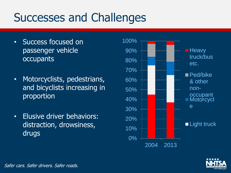## Successes and Challenges

- Success focused on passenger vehicle occupants
- Motorcyclists, pedestrians, and bicyclists increasing in proportion
- Elusive driver behaviors: distraction, drowsiness, drugs



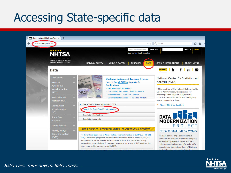### Accessing State-specific data





Safer cars. Safer drivers. Safer roads.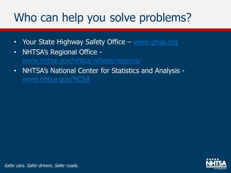# Who can help you solve problems?

- Your State Highway Safety Office [www.ghsa.org](http://www.ghsa.org/)
- NHTSA's Regional Office [www.nhtsa.gov/nhtsa/whatis/regions/](http://www.nhtsa.gov/nhtsa/whatis/regions/)
- NHTSA's National Center for Statistics and Analysis [www.nhtsa.gov/NCSA](http://www.nhtsa.gov/NCSA)